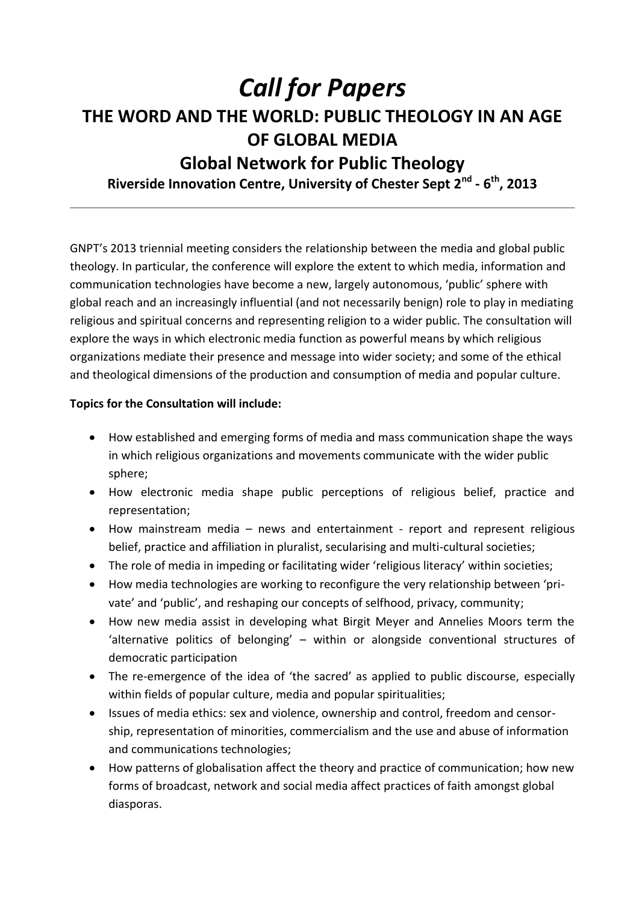# *Call for Papers*  **THE WORD AND THE WORLD: PUBLIC THEOLOGY IN AN AGE OF GLOBAL MEDIA Global Network for Public Theology**

**Riverside Innovation Centre, University of Chester Sept 2nd - 6 th, 2013**

GNPT's 2013 triennial meeting considers the relationship between the media and global public theology. In particular, the conference will explore the extent to which media, information and communication technologies have become a new, largely autonomous, 'public' sphere with global reach and an increasingly influential (and not necessarily benign) role to play in mediating religious and spiritual concerns and representing religion to a wider public. The consultation will explore the ways in which electronic media function as powerful means by which religious organizations mediate their presence and message into wider society; and some of the ethical and theological dimensions of the production and consumption of media and popular culture.

### **Topics for the Consultation will include:**

- How established and emerging forms of media and mass communication shape the ways in which religious organizations and movements communicate with the wider public sphere;
- How electronic media shape public perceptions of religious belief, practice and representation;
- How mainstream media news and entertainment report and represent religious belief, practice and affiliation in pluralist, secularising and multi-cultural societies;
- The role of media in impeding or facilitating wider 'religious literacy' within societies;
- How media technologies are working to reconfigure the very relationship between 'private' and 'public', and reshaping our concepts of selfhood, privacy, community;
- How new media assist in developing what Birgit Meyer and Annelies Moors term the 'alternative politics of belonging' – within or alongside conventional structures of democratic participation
- The re-emergence of the idea of 'the sacred' as applied to public discourse, especially within fields of popular culture, media and popular spiritualities;
- Issues of media ethics: sex and violence, ownership and control, freedom and censorship, representation of minorities, commercialism and the use and abuse of information and communications technologies;
- How patterns of globalisation affect the theory and practice of communication; how new forms of broadcast, network and social media affect practices of faith amongst global diasporas.